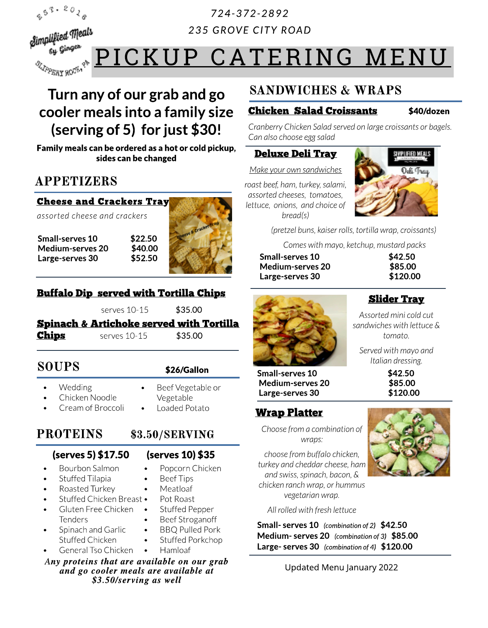$653.2018$ 

Simplified Meals **Ey Ginger** 

**ELEVANT ROCKA PR** 

# **7 2 4 -3 7 2 -2 8 9 2 2 3 5 GROVE CITY ROAD**

# PICKUP CATERING MENU

# Turn any of our grab and go cooler meals into a family size (serving of 5) for just \$30!

Family meals can be ordered asa hot or cold pickup, sides can be changed

# **APPETIZERS**

#### **Cheese and Crackers Tray**

**assorted cheese and crackers**

Small-serves 10 \$22.50 Medium-serves 20 \$40.00 Large-serves 30 \$52.50





#### **Buffalo Dip served with Tortilla Chips**

|              | serves 10-15                                        | \$35.00 |
|--------------|-----------------------------------------------------|---------|
|              | <u>Spinach &amp; Artichoke served with Tortilla</u> |         |
| <u>Chips</u> | serves 10-15                                        | \$35.00 |

SOUPS \$26/Gallon

#### **Wedding**

- Chicken Noodle
- Cream of Broccoli

## PROTEINS \$3.50/SERVING

Vegetable

### (serves5) \$17.50 (serves10) \$35

#### Popcorn Chicken

**Beef Tips** 

- Bourbon Salmon Stuffed Tilapia
- Roasted Turkey

Tenders

- Stuffed Chicken Breast •
- Gluten Free Chicken
	- - Beef Stroganoff BBQ Pulled Pork
	- Spinach and Garlic Stuffed Chicken
		-

**Any proteins that are available on our grab and go cooler meals are available at \$3.50/serving as well**

# SANDWICHES & WRAPS

## Chicken Salad Croissants \$40/dozen

SIMPLIFIED MEAL

Oeli Tray

Cranberry Chicken Salad served on large croissants or bagels. Can also choose egg salad

#### Deluxe Deli Tray

Make your own sandwiches

roast beef, ham, turkey, salami, **assortedcheeses, tomatoes, lettuce, onions, andchoiceof bread(s)**

(pretzel buns, kaiser rolls, tortilla wrap, croissants)

Comes with mayo, ketchup, mustard packs

| <b>Small-serves 10</b> | \$42.50  |
|------------------------|----------|
| Medium-serves 20       | \$85.00  |
| Large-serves 30        | \$120.00 |



Small-serves 10 \$42.50 Medium-serves 20 \$85.00 Large-serves 30 \$120.00

### Wrap Platter

Choose from a combination of **wraps:**

**choosefrombuffalochicken, turkeyandcheddar cheese,ham andswiss,spinach,bacon,& chickenranchwrap,orhummus vegetarianwrap.**

All rolled with fresh lettuce

Small- serves10 **(combinationof 2)** \$42.50 Medium- serves20 **(combinationof 3)** \$85.00 Large- serves30 **(combinationof 4)** \$120.00

Updated Menu January 2022





# Served with mayo and

**Italian** dressing.

**Meatloaf** Pot Roast



- 
- Stuffed Porkchop
- General Tso Chicken - Hamloaf